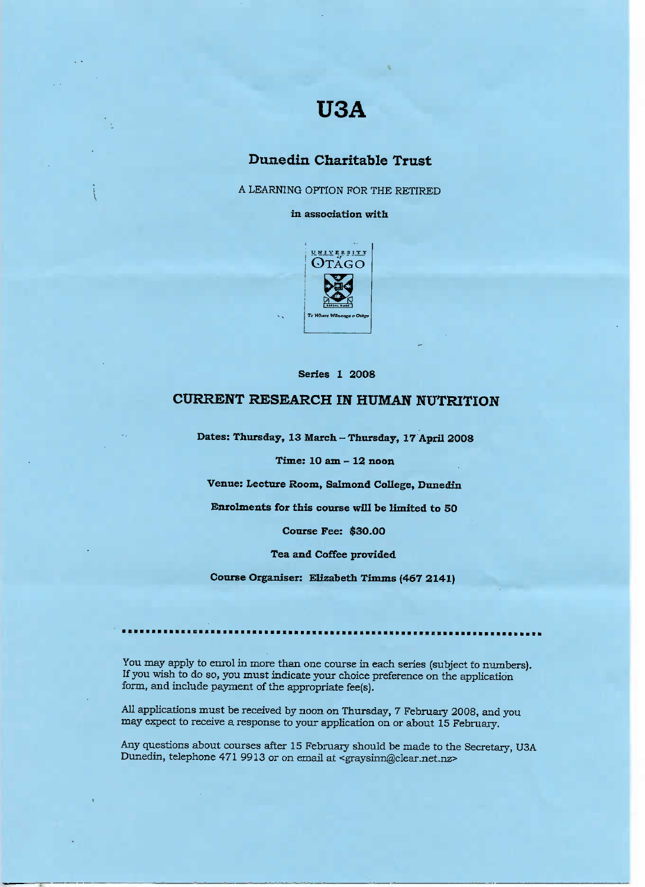# **USA**

## **Dunedin Charitable Trust**

A LEARNING OPTION FOR THE RETIRED

**in association with**



**Series 1 2008**

## **CURRENT RESEARCH IN HUMAN NUTRITION**

**Dates: Thursday, 13 March - Thursday, 17 April 2008**

**Time: 10 am - 12 noon**

**Venue: Lecture Room, Salmond College, Dunedin**

**Enrolments for this course will be limited to 50**

**Course Fee: \$30.00**

**Tea and Coffee provided**

**Course Organiser: Elizabeth** Timms **(467 2141)**

You may apply to enrol in more than one course in each series (subject to numbers). If you wish to do so, you must indicate your choice preference on the application form, and include payment of the appropriate fee(s).

All applications must be received by noon on Thursday, 7 February 2008, and you may expect to receive a response to your application on or about 15 February.

Any questions about courses after 15 February should be made to the Secretary, USA Dunedin, telephone 471 9913 or on email at <graysinn@clear.net.nz>